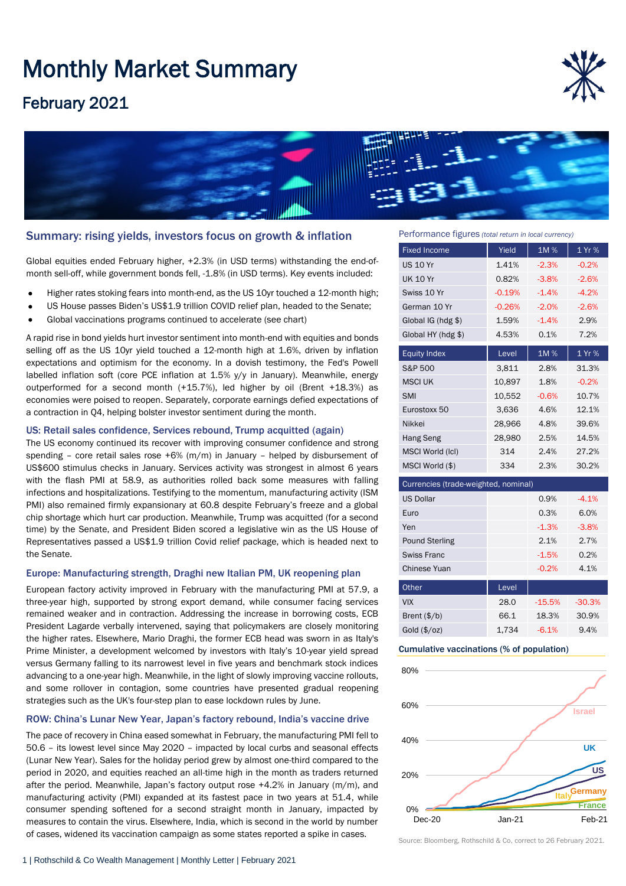# Monthly Market Summary

# February 2021





### Summary: rising yields, investors focus on growth & inflation

Global equities ended February higher, +2.3% (in USD terms) withstanding the end-ofmonth sell-off, while government bonds fell, -1.8% (in USD terms). Key events included:

- Higher rates stoking fears into month-end, as the US 10yr touched a 12-month high;
- US House passes Biden's US\$1.9 trillion COVID relief plan, headed to the Senate;
- Global vaccinations programs continued to accelerate (see chart)

A rapid rise in bond yields hurt investor sentiment into month-end with equities and bonds selling off as the US 10yr yield touched a 12-month high at 1.6%, driven by inflation expectations and optimism for the economy. In a dovish testimony, the Fed's Powell labelled inflation soft (core PCE inflation at 1.5% y/y in January). Meanwhile, energy outperformed for a second month (+15.7%), led higher by oil (Brent +18.3%) as economies were poised to reopen. Separately, corporate earnings defied expectations of a contraction in Q4, helping bolster investor sentiment during the month.

#### US: Retail sales confidence, Services rebound, Trump acquitted (again)

The US economy continued its recover with improving consumer confidence and strong spending – core retail sales rose  $+6%$  (m/m) in January – helped by disbursement of US\$600 stimulus checks in January. Services activity was strongest in almost 6 years with the flash PMI at 58.9, as authorities rolled back some measures with falling infections and hospitalizations. Testifying to the momentum, manufacturing activity (ISM PMI) also remained firmly expansionary at 60.8 despite February's freeze and a global chip shortage which hurt car production. Meanwhile, Trump was acquitted (for a second time) by the Senate, and President Biden scored a legislative win as the US House of Representatives passed a US\$1.9 trillion Covid relief package, which is headed next to the Senate.

#### Europe: Manufacturing strength, Draghi new Italian PM, UK reopening plan

European factory activity improved in February with the manufacturing PMI at 57.9, a three-year high, supported by strong export demand, while consumer facing services remained weaker and in contraction. Addressing the increase in borrowing costs, ECB President Lagarde verbally intervened, saying that policymakers are closely monitoring the higher rates. Elsewhere, Mario Draghi, the former ECB head was sworn in as Italy's Prime Minister, a development welcomed by investors with Italy's 10-year yield spread versus Germany falling to its narrowest level in five years and benchmark stock indices advancing to a one-year high. Meanwhile, in the light of slowly improving vaccine rollouts, and some rollover in contagion, some countries have presented gradual reopening strategies such as the UK's four-step plan to ease lockdown rules by June.

#### ROW: China's Lunar New Year, Japan's factory rebound, India's vaccine drive

The pace of recovery in China eased somewhat in February, the manufacturing PMI fell to 50.6 – its lowest level since May 2020 – impacted by local curbs and seasonal effects (Lunar New Year). Sales for the holiday period grew by almost one-third compared to the period in 2020, and equities reached an all-time high in the month as traders returned after the period. Meanwhile, Japan's factory output rose +4.2% in January (m/m), and manufacturing activity (PMI) expanded at its fastest pace in two years at 51.4, while consumer spending softened for a second straight month in January, impacted by measures to contain the virus. Elsewhere, India, which is second in the world by number of cases, widened its vaccination campaign as some states reported a spike in cases.

Performance figures *(total return in local currency)*

| <b>Fixed Income</b>                  | Yield    | 1M%     | 1 Yr %  |  |
|--------------------------------------|----------|---------|---------|--|
| <b>US 10 Yr</b>                      | 1.41%    | $-2.3%$ | $-0.2%$ |  |
| <b>UK 10 Yr</b>                      | 0.82%    | $-3.8%$ | $-2.6%$ |  |
| Swiss 10 Yr                          | $-0.19%$ | $-1.4%$ | $-4.2%$ |  |
| German 10 Yr                         | $-0.26%$ | $-2.0%$ | $-2.6%$ |  |
| Global $IG(hdg$ \$)                  | 1.59%    | $-1.4%$ | 2.9%    |  |
| Global HY (hdg \$)                   | 4.53%    | 0.1%    | 7.2%    |  |
| <b>Equity Index</b>                  | Level    | 1M%     | 1 Yr %  |  |
| S&P 500                              | 3,811    | 2.8%    | 31.3%   |  |
| <b>MSCI UK</b>                       | 10,897   | 1.8%    | $-0.2%$ |  |
| <b>SMI</b>                           | 10,552   | $-0.6%$ | 10.7%   |  |
| Eurostoxx 50                         | 3,636    | 4.6%    | 12.1%   |  |
| Nikkei                               | 28,966   | 4.8%    | 39.6%   |  |
| <b>Hang Seng</b>                     | 28,980   | 2.5%    | 14.5%   |  |
| MSCI World (IcI)                     | 314      | 2.4%    | 27.2%   |  |
| MSCI World (\$)                      | 334      | 2.3%    | 30.2%   |  |
| Currencies (trade-weighted, nominal) |          |         |         |  |
| <b>US Dollar</b>                     |          | 0.9%    | $-4.1%$ |  |
| Euro                                 |          | 0.3%    | 6.0%    |  |
| Yen                                  |          | $-1.3%$ | $-3.8%$ |  |
| <b>Pound Sterling</b>                |          | 2.1%    | 2.7%    |  |
| <b>Swiss Franc</b>                   |          | $-1.5%$ | 0.2%    |  |
| Chinese Yuan                         |          | $-0.2%$ | 4.1%    |  |
| ∩ther                                | l evel   |         |         |  |

| Other                 | Level |          |          |
|-----------------------|-------|----------|----------|
| <b>VIX</b>            | 28.0  | $-15.5%$ | $-30.3%$ |
| Brent $(\frac{5}{b})$ | 66.1  | 18.3%    | 30.9%    |
| Gold (\$/oz)          | 1.734 | $-6.1%$  | 9.4%     |

#### Cumulative vaccinations (% of population)



Source: Bloomberg, Rothschild & Co, correct to 26 February 2021.